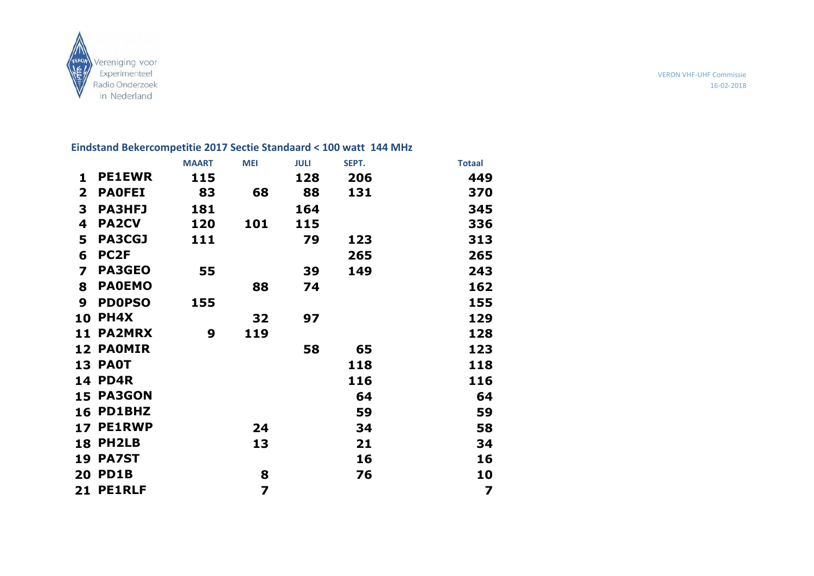

VERON VHF-UHF Commissie 16-02-2018

# **Eindstand Bekercompetitie 2017 Sectie Standaard < 100 watt 144 MHz**

|                |                  | <b>MAART</b> | <b>MEI</b>              | <b>JULI</b> | SEPT. | <b>Totaal</b>           |
|----------------|------------------|--------------|-------------------------|-------------|-------|-------------------------|
| $\mathbf{1}$   | <b>PE1EWR</b>    | 115          |                         | 128         | 206   | 449                     |
| $\mathbf{2}$   | <b>PAOFEI</b>    | 83           | 68                      | 88          | 131   | 370                     |
| 3              | <b>PA3HFJ</b>    | 181          |                         | 164         |       | 345                     |
| 4              | <b>PA2CV</b>     | 120          | 101                     | 115         |       | 336                     |
| 5              | <b>PA3CGJ</b>    | 111          |                         | 79          | 123   | 313                     |
| 6              | PC <sub>2F</sub> |              |                         |             | 265   | 265                     |
| $\overline{ }$ | <b>PA3GEO</b>    | 55           |                         | 39          | 149   | 243                     |
| 8              | <b>PAOEMO</b>    |              | 88                      | 74          |       | 162                     |
| 9              | <b>PDOPSO</b>    | 155          |                         |             |       | 155                     |
| 10             | <b>PH4X</b>      |              | 32                      | 97          |       | 129                     |
|                | <b>11 PA2MRX</b> | 9            | 119                     |             |       | 128                     |
|                | <b>12 PAOMIR</b> |              |                         | 58          | 65    | 123                     |
|                | <b>13 PAOT</b>   |              |                         |             | 118   | 118                     |
|                | <b>14 PD4R</b>   |              |                         |             | 116   | 116                     |
|                | 15 PA3GON        |              |                         |             | 64    | 64                      |
|                | 16 PD1BHZ        |              |                         |             | 59    | 59                      |
|                | 17 PE1RWP        |              | 24                      |             | 34    | 58                      |
|                | 18 PH2LB         |              | 13                      |             | 21    | 34                      |
|                | <b>19 PA7ST</b>  |              |                         |             | 16    | 16                      |
|                | <b>20 PD1B</b>   |              | 8                       |             | 76    | 10                      |
|                | 21 PE1RLF        |              | $\overline{\mathbf{z}}$ |             |       | $\overline{\mathbf{z}}$ |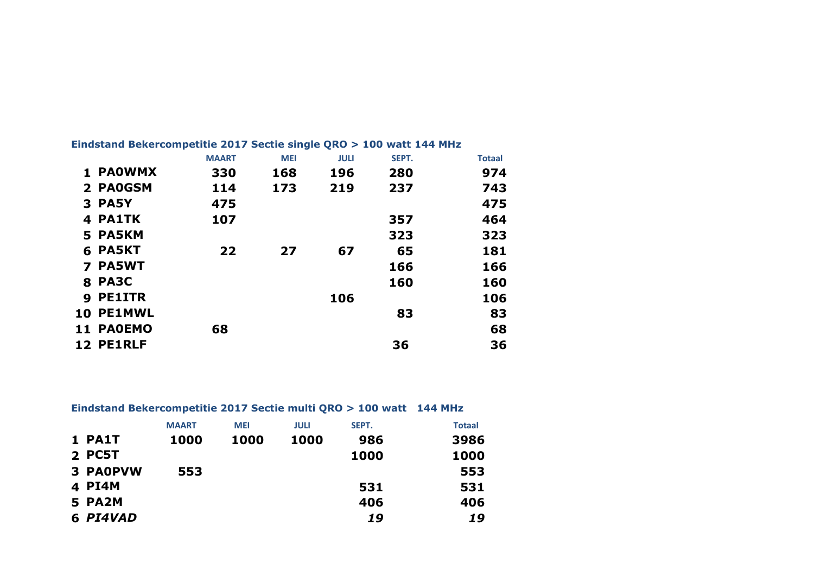|    |               | <b>MAART</b> | <b>MEI</b> | <b>JULI</b> | SEPT. | <b>Totaal</b> |
|----|---------------|--------------|------------|-------------|-------|---------------|
|    | <b>PAOWMX</b> | 330          | 168        | 196         | 280   | 974           |
|    | 2 PAOGSM      | 114          | 173        | 219         | 237   | 743           |
|    | 3 PA5Y        | 475          |            |             |       | 475           |
|    | 4 PA1TK       | 107          |            |             | 357   | 464           |
|    | 5 PA5KM       |              |            |             | 323   | 323           |
|    | 6 PA5KT       | 22           | 27         | 67          | 65    | 181           |
|    | <b>PA5WT</b>  |              |            |             | 166   | 166           |
|    | <b>8 PA3C</b> |              |            |             | 160   | 160           |
| 9  | <b>PE1ITR</b> |              |            | 106         |       | 106           |
| 10 | <b>PE1MWL</b> |              |            |             | 83    | 83            |
| 11 | <b>PAOEMO</b> | 68           |            |             |       | 68            |
| 12 | <b>PE1RLF</b> |              |            |             | 36    | 36            |

## **Eindstand Bekercompetitie 2017 Sectie single QRO > 100 watt 144 MHz**

## **Eindstand Bekercompetitie 2017 Sectie multi QRO > 100 watt 144 MHz**

|                 | <b>MAART</b> | <b>MEI</b> | <b>JULI</b> | SEPT. | <b>Totaal</b> |
|-----------------|--------------|------------|-------------|-------|---------------|
| 1 PA1T          | 1000         | 1000       | 1000        | 986   | 3986          |
| 2 PC5T          |              |            |             | 1000  | 1000          |
| <b>3 PAOPVW</b> | 553          |            |             |       | 553           |
| 4 PI4M          |              |            |             | 531   | 531           |
| 5 PA2M          |              |            |             | 406   | 406           |
| 6 PI4VAD        |              |            |             | 19    | 19            |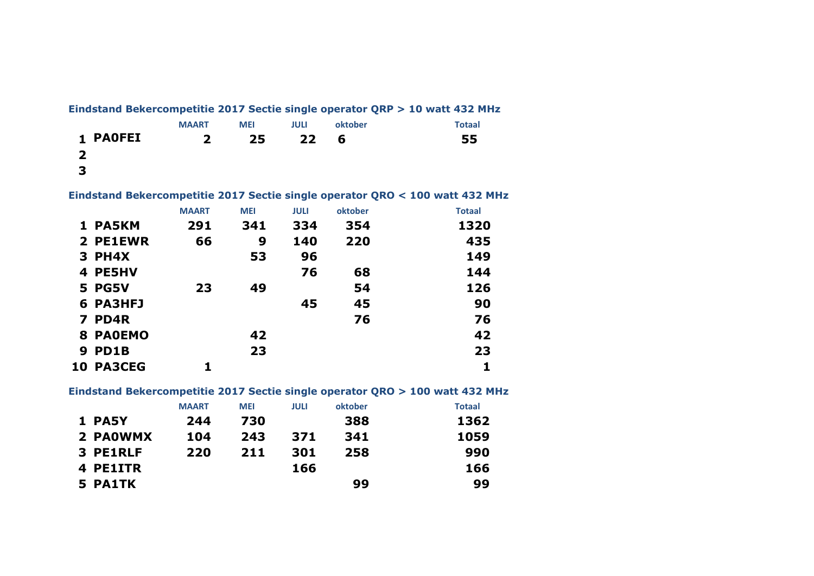|                 |              |            |      |         | Eindstand Bekercompetitie 2017 Sectie single operator QRP > 10 watt 432 MHz |
|-----------------|--------------|------------|------|---------|-----------------------------------------------------------------------------|
|                 | <b>MAART</b> | <b>MEI</b> | JULI | oktober | <b>Totaal</b>                                                               |
| <b>1 PAOFEI</b> | 2            | -25 -      | 22   | -6      | 55                                                                          |
|                 |              |            |      |         |                                                                             |
| $\mathbf{B}$    |              |            |      |         |                                                                             |

**Eindstand Bekercompetitie 2017 Sectie single operator QRO < 100 watt 432 MHz**

|   |                  | <b>MAART</b> | <b>MEI</b> | <b>JULI</b> | oktober | <b>Totaal</b> |
|---|------------------|--------------|------------|-------------|---------|---------------|
|   | 1 PA5KM          | 291          | 341        | 334         | 354     | 1320          |
|   | 2 PE1EWR         | 66           | 9          | 140         | 220     | 435           |
|   | 3 PH4X           |              | 53         | 96          |         | 149           |
|   | 4 PE5HV          |              |            | 76          | 68      | 144           |
|   | <b>5 PG5V</b>    | 23           | 49         |             | 54      | 126           |
|   | 6 PA3HFJ         |              |            | 45          | 45      | 90            |
|   | 7 PD4R           |              |            |             | 76      | 76            |
|   | 8 PAOEMO         |              | 42         |             |         | 42            |
| 9 | PD1B             |              | 23         |             |         | 23            |
|   | <b>10 PA3CEG</b> |              |            |             |         | 1             |

**Eindstand Bekercompetitie 2017 Sectie single operator QRO > 100 watt 432 MHz**

|          | <b>MAART</b> | <b>MEI</b> | <b>JULI</b> | oktober | <b>Totaal</b> |
|----------|--------------|------------|-------------|---------|---------------|
| 1 PA5Y   | 244          | 730        |             | 388     | 1362          |
| 2 PAOWMX | 104          | 243        | 371         | 341     | 1059          |
| 3 PE1RLF | 220          | 211        | 301         | 258     | 990           |
| 4 PE1ITR |              |            | 166         |         | 166           |
| 5 PA1TK  |              |            |             | 99      | 99            |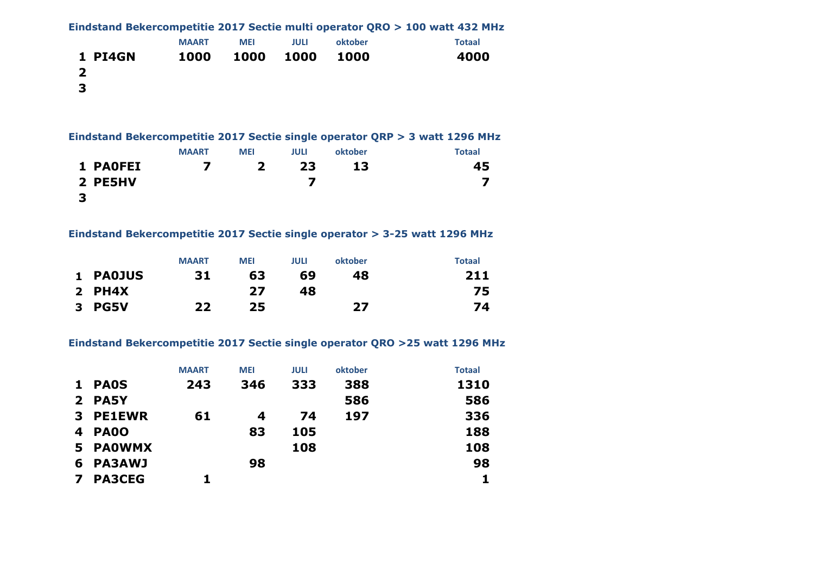|         |              |            |      |         | Eindstand Bekercompetitie 2017 Sectie multi operator QRO > 100 watt 432 MHz |
|---------|--------------|------------|------|---------|-----------------------------------------------------------------------------|
|         | <b>MAART</b> | <b>MEI</b> | JULI | oktober | <b>Totaal</b>                                                               |
| 1 PI4GN | 1000         | 1000       | 1000 | 1000    | 4000                                                                        |
|         |              |            |      |         |                                                                             |
| 3       |              |            |      |         |                                                                             |

### **Eindstand Bekercompetitie 2017 Sectie single operator QRP > 3 watt 1296 MHz**

|                 | <b>MAART</b> | <b>MEI</b> | <b>JULI</b> | oktober | Totaal |
|-----------------|--------------|------------|-------------|---------|--------|
| <b>1 PAOFEI</b> |              |            | 23          | 13      | 45     |
| 2 PE5HV         |              |            |             |         |        |
| 3               |              |            |             |         |        |

### **Eindstand Bekercompetitie 2017 Sectie single operator > 3-25 watt 1296 MHz**

|          | <b>MAART</b> | <b>MEI</b> | <b>JULI</b> | oktober | <b>Totaal</b> |
|----------|--------------|------------|-------------|---------|---------------|
| 1 PA0JUS | 31           | 63         | 69          | 48      | 211           |
| $2$ PH4X |              | 27         | 48          |         | 75.           |
| 3 PG5V   | フフ           | 25         |             | 27      | 74            |

### **Eindstand Bekercompetitie 2017 Sectie single operator QRO >25 watt 1296 MHz**

|              |               | <b>MAART</b> | <b>MEI</b> | <b>JULI</b> | oktober | <b>Totaal</b> |
|--------------|---------------|--------------|------------|-------------|---------|---------------|
| $\mathbf{1}$ | <b>PAOS</b>   | 243          | 346        | 333         | 388     | 1310          |
|              | 2 PA5Y        |              |            |             | 586     | 586           |
| 3            | <b>PE1EWR</b> | 61           | 4          | 74          | 197     | 336           |
| 4            | <b>PAOO</b>   |              | 83         | 105         |         | 188           |
| 5            | <b>PAOWMX</b> |              |            | 108         |         | 108           |
| 6            | <b>PA3AWJ</b> |              | 98         |             |         | 98            |
| 7            | <b>PA3CEG</b> |              |            |             |         |               |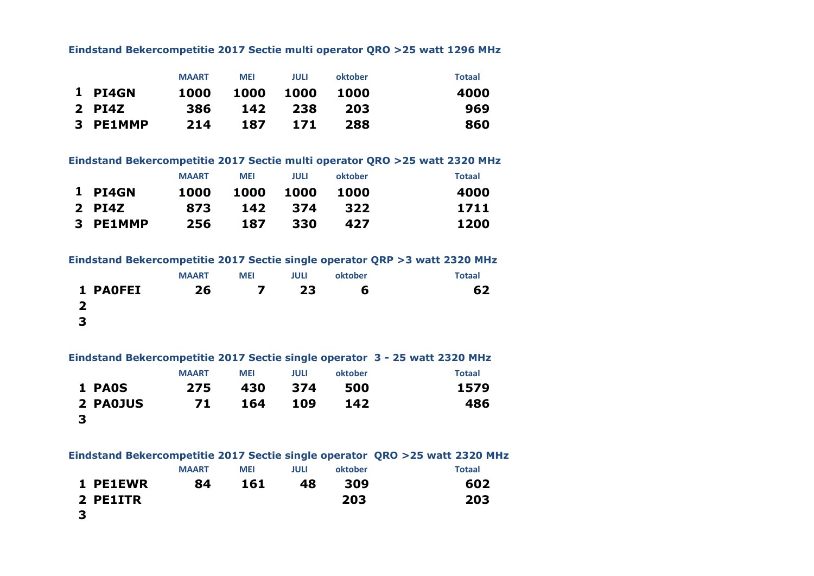#### **Eindstand Bekercompetitie 2017 Sectie multi operator QRO >25 watt 1296 MHz**

|          | <b>MAART</b> | <b>MEI</b> | JULI | oktober | <b>Totaal</b> |
|----------|--------------|------------|------|---------|---------------|
| 1 PI4GN  | 1000         | 1000       | 1000 | 1000    | 4000          |
| $2$ PI4Z | 386          | 142        | -238 | 203     | 969           |
| 3 PE1MMP | 214          | 187        | 171  | 288     | 860           |

#### **Eindstand Bekercompetitie 2017 Sectie multi operator QRO >25 watt 2320 MHz**

|          | <b>MAART</b> | <b>MEI</b> | JULI | oktober | <b>Totaal</b> |
|----------|--------------|------------|------|---------|---------------|
| 1 PI4GN  | 1000         | 1000       | 1000 | 1000    | 4000          |
| 2 PI4Z   | 873          | 142        | -374 | -322    | 1711          |
| 3 PE1MMP | 256          | 187        | 330  | 427     | 1200          |

#### **Eindstand Bekercompetitie 2017 Sectie single operator QRP >3 watt 2320 MHz**

|                         | <b>MAART</b> | <b>MEI</b> | <b>JULI</b> | oktober | <b>Totaal</b> |
|-------------------------|--------------|------------|-------------|---------|---------------|
| <b>1 PAOFEI</b>         | 26           | 7          | 23          | 6       | 62            |
| $\overline{\mathbf{2}}$ |              |            |             |         |               |
| -3                      |              |            |             |         |               |

#### **Eindstand Bekercompetitie 2017 Sectie single operator 3 - 25 watt 2320 MHz**

|               | <b>MAART</b> | <b>MEI</b> | <b>JULI</b> | oktober | <b>Totaal</b> |
|---------------|--------------|------------|-------------|---------|---------------|
| <b>1 PAOS</b> | 275          | 430        | - 374       | 500     | 1579          |
| 2 PAOJUS      | 71           | 164        | 109         | 142     | 486           |
| - 3           |              |            |             |         |               |

|          |              |            |             |         | Eindstand Bekercompetitie 2017 Sectie single operator QRO >25 watt 2320 MHz |
|----------|--------------|------------|-------------|---------|-----------------------------------------------------------------------------|
|          | <b>MAART</b> | <b>MEI</b> | <b>JULI</b> | oktober | <b>Totaal</b>                                                               |
| 1 PE1EWR | 84           | 161        | 48          | 309     | 602                                                                         |
| 2 PE1ITR |              |            |             | 203     | 203                                                                         |
| 3        |              |            |             |         |                                                                             |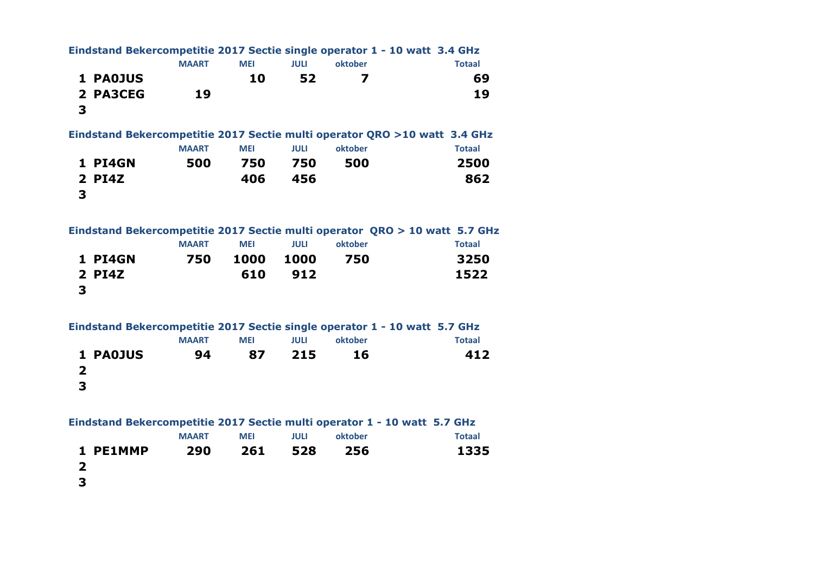|                         |          |              |            |             |         | Eindstand Bekercompetitie 2017 Sectie single operator 1 - 10 watt 3.4 GHz  |
|-------------------------|----------|--------------|------------|-------------|---------|----------------------------------------------------------------------------|
|                         |          | <b>MAART</b> | <b>MEI</b> | <b>JULI</b> | oktober | <b>Totaal</b>                                                              |
|                         | 1 PA0JUS |              | 10         | 52          | 7       | 69                                                                         |
| 3                       | 2 PA3CEG | 19           |            |             |         | 19                                                                         |
|                         |          |              |            |             |         | Eindstand Bekercompetitie 2017 Sectie multi operator QRO >10 watt 3.4 GHz  |
|                         |          | <b>MAART</b> | <b>MEI</b> | <b>JULI</b> | oktober | <b>Totaal</b>                                                              |
|                         | 1 PI4GN  | 500          | 750        | 750         | 500     | 2500                                                                       |
| 3                       | 2 PI4Z   |              | 406        | 456         |         | 862                                                                        |
|                         |          |              |            |             |         | Eindstand Bekercompetitie 2017 Sectie multi operator QRO > 10 watt 5.7 GHz |
|                         |          | <b>MAART</b> | <b>MEI</b> | <b>JULI</b> | oktober | <b>Totaal</b>                                                              |
|                         | 1 PI4GN  | 750          | 1000       | 1000        | 750     | 3250                                                                       |
| 3                       | 2 PI4Z   |              | 610        | 912         |         | 1522                                                                       |
|                         |          |              |            |             |         | Eindstand Bekercompetitie 2017 Sectie single operator 1 - 10 watt 5.7 GHz  |
|                         |          | <b>MAART</b> | <b>MEI</b> | <b>JULI</b> | oktober | <b>Totaal</b>                                                              |
|                         | 1 PAOJUS | 94           | 87         | 215         | 16      | 412                                                                        |
| $\overline{2}$          |          |              |            |             |         |                                                                            |
| 3                       |          |              |            |             |         |                                                                            |
|                         |          |              |            |             |         | Eindstand Bekercompetitie 2017 Sectie multi operator 1 - 10 watt 5.7 GHz   |
|                         |          | <b>MAART</b> | <b>MEI</b> | <b>JULI</b> | oktober | <b>Totaal</b>                                                              |
|                         | 1 PE1MMP | 290          | 261        | 528         | 256     | 1335                                                                       |
| $\overline{\mathbf{2}}$ |          |              |            |             |         |                                                                            |
| 3                       |          |              |            |             |         |                                                                            |
|                         |          |              |            |             |         |                                                                            |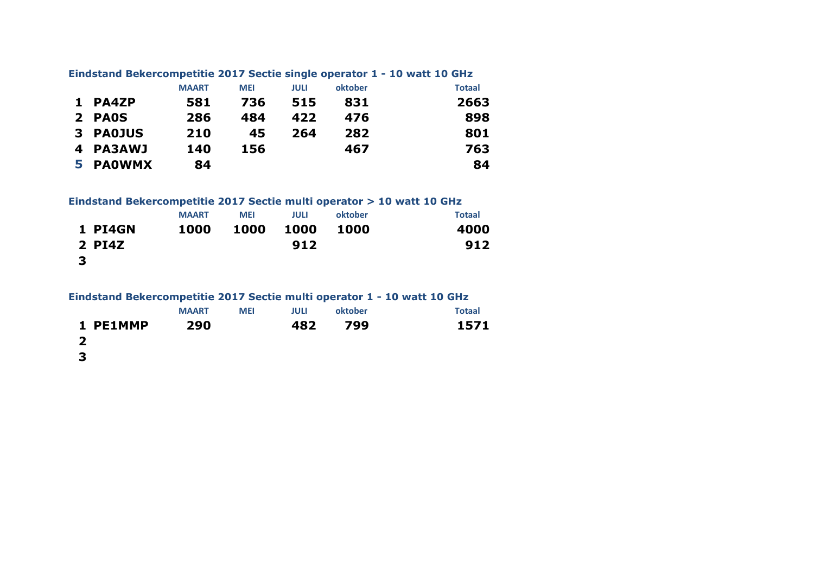|          |              |            |             |         | Eindstand Bekercompetitie 2017 Sectie single operator 1 - 10 watt 10 GHz |
|----------|--------------|------------|-------------|---------|--------------------------------------------------------------------------|
|          | <b>MAART</b> | <b>MEI</b> | <b>JULI</b> | oktober | <b>Totaal</b>                                                            |
| 1 PA4ZP  | 581          | 736        | 515         | 831     | 2663                                                                     |
| 2 PAOS   | 286          | 484        | 422         | 476     | 898                                                                      |
| 3 PAOJUS | 210          | 45         | 264         | 282     | 801                                                                      |
| 4 PA3AWJ | 140          | 156        |             | 467     | 763                                                                      |
| 5 PAOWMX | 84           |            |             |         | 84                                                                       |

# **Eindstand Bekercompetitie 2017 Sectie single operator 1 - 10 watt 10 GHz**

**Eindstand Bekercompetitie 2017 Sectie multi operator > 10 watt 10 GHz**

|                | <b>MAART</b> | <b>MEI</b> | <b>JULI</b> | oktober | <b>Totaal</b> |
|----------------|--------------|------------|-------------|---------|---------------|
| <b>1 PI4GN</b> | 1000         | 1000       | 1000        | 1000    | 4000          |
| $2$ PI4Z       |              |            | 912         |         | 912           |
| -3             |              |            |             |         |               |

| Eindstand Bekercompetitie 2017 Sectie multi operator 1 - 10 watt 10 GHz |  |  |  |
|-------------------------------------------------------------------------|--|--|--|
|                                                                         |  |  |  |

|          | <b>MAART</b> | <b>MEI</b> | <b>JULI</b> | oktober | <b>Totaal</b> |
|----------|--------------|------------|-------------|---------|---------------|
| 1 PE1MMP | 290          |            |             | 482 799 | 1571          |
| - 2      |              |            |             |         |               |